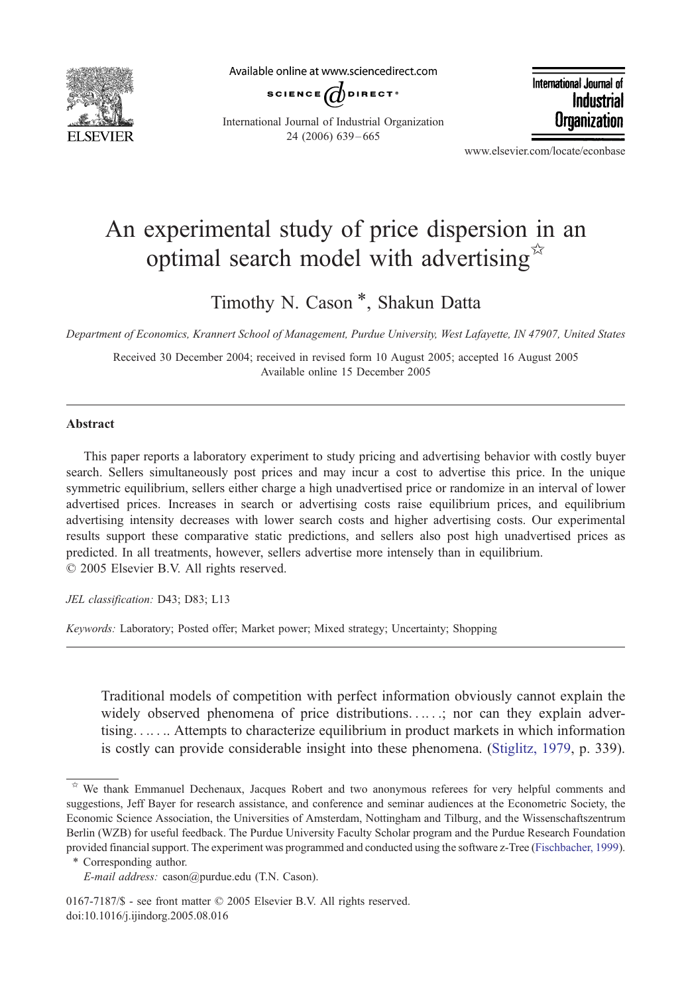

Available online at www.sciencedirect.com



International Journal of Industrial Organization 24 (2006) 639 – 665

International Journal of Industrial Organization

www.elsevier.com/locate/econbase

## An experimental study of price dispersion in an optimal search model with advertising

Timothy N. Cason \*, Shakun Datta

Department of Economics, Krannert School of Management, Purdue University, West Lafayette, IN 47907, United States

Received 30 December 2004; received in revised form 10 August 2005; accepted 16 August 2005 Available online 15 December 2005

## Abstract

This paper reports a laboratory experiment to study pricing and advertising behavior with costly buyer search. Sellers simultaneously post prices and may incur a cost to advertise this price. In the unique symmetric equilibrium, sellers either charge a high unadvertised price or randomize in an interval of lower advertised prices. Increases in search or advertising costs raise equilibrium prices, and equilibrium advertising intensity decreases with lower search costs and higher advertising costs. Our experimental results support these comparative static predictions, and sellers also post high unadvertised prices as predicted. In all treatments, however, sellers advertise more intensely than in equilibrium.  $© 2005 Elsevier B.V. All rights reserved.$ 

JEL classification: D43; D83; L13

Keywords: Laboratory; Posted offer; Market power; Mixed strategy; Uncertainty; Shopping

Traditional models of competition with perfect information obviously cannot explain the widely observed phenomena of price distributions. ... ..; nor can they explain advertising. . .. . .. Attempts to characterize equilibrium in product markets in which information is costly can provide considerable insight into these phenomen[a. \(Stiglitz, 19](#page--1-0)79, p. 339).

We thank Emmanuel Dechenaux, Jacques Robert and two anonymous referees for very helpful comments and suggestions, Jeff Bayer for research assistance, and conference and seminar audiences at the Econometric Society, the Economic Science Association, the Universities of Amsterdam, Nottingham and Tilburg, and the Wissenschaftszentrum Berlin (WZB) for useful feedback. The Purdue University Faculty Scholar program and the Purdue Research Foundation provided financial support. The experiment was programmed and conducted using the software z-Tree ([Fischbacher, 1999](#page--1-0)).

<sup>\*</sup> Corresponding author.

E-mail address: cason@purdue.edu (T.N. Cason).

<sup>0167-7187/\$ -</sup> see front matter  $©$  2005 Elsevier B.V. All rights reserved. doi:10.1016/j.ijindorg.2005.08.016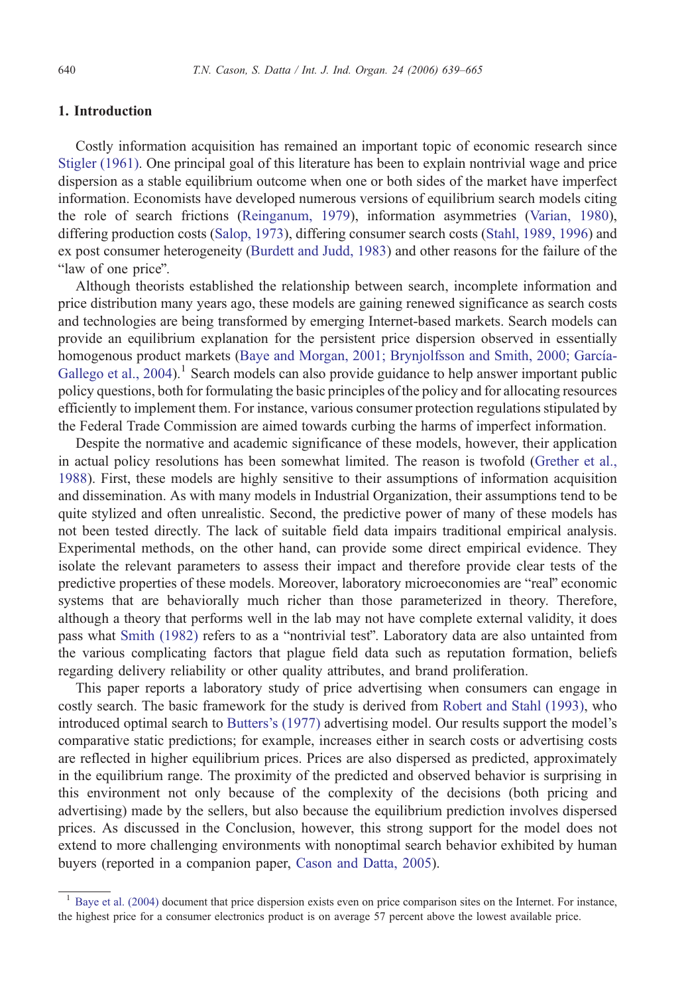## 1. Introduction

Costly information acquisition has remained an important topic of economic research since Sti[gler \(1961\). On](#page--1-0)e principal goal of this literature has been to explain nontrivial wage and price dispersion as a stable equilibrium outcome when one or both sides of the market have imperfect information. Economists have developed numerous versions of equilibrium search models citing the role of search frictions (Re[inganum, 1979\), i](#page--1-0)nformation asymmetries (Var[ian, 1980\),](#page--1-0) differing production costs (Sal[op, 1973\), di](#page--1-0)ffering consumer search costs (Sta[hl, 1989, 1996\) an](#page--1-0)d ex post consumer heterogeneity (Bu[rdett and Judd, 1983\) an](#page--1-0)d other reasons for the failure of the "law of one price".

Although theorists established the relationship between search, incomplete information and price distribution many years ago, these models are gaining renewed significance as search costs and technologies are being transformed by emerging Internet-based markets. Search models can provide an equilibrium explanation for the persistent price dispersion observed in essentially homogenous product markets (Baye and Morgan, 2001; Brynjolfsson and Smith, 2000; García-Gallego et al., 2004).<sup>1</sup> Search models can also provide guidance to help answer important public policy questions, both for formulating the basic principles of the policy and for allocating resources efficiently to implement them. For instance, various consumer protection regulations stipulated by the Federal Trade Commission are aimed towards curbing the harms of imperfect information.

Despite the normative and academic significance of these models, however, their application in actual policy resolutions has been somewhat limited. The reason is twofold (Gr[ether et a](#page--1-0)l., 1988). First, these models are highly sensitive to their assumptions of information acquisition and dissemination. As with many models in Industrial Organization, their assumptions tend to be quite stylized and often unrealistic. Second, the predictive power of many of these models has not been tested directly. The lack of suitable field data impairs traditional empirical analysis. Experimental methods, on the other hand, can provide some direct empirical evidence. They isolate the relevant parameters to assess their impact and therefore provide clear tests of the predictive properties of these models. Moreover, laboratory microeconomies are "real" economic systems that are behaviorally much richer than those parameterized in theory. Therefore, although a theory that performs well in the lab may not have complete external validity, it does pass what S[mith \(1982\)](#page--1-0) refers to as a "nontrivial test". Laboratory data are also untainted from the various complicating factors that plague field data such as reputation formation, beliefs regarding delivery reliability or other quality attributes, and brand proliferation.

This paper reports a laboratory study of price advertising when consumers can engage in costly search. The basic framework for the study is derived from Ro[bert and Stahl \(1993\), wh](#page--1-0)o introduced optimal search to Bu[tters's \(1977\)](#page--1-0) advertising model. Our results support the model's comparative static predictions; for example, increases either in search costs or advertising costs are reflected in higher equilibrium prices. Prices are also dispersed as predicted, approximately in the equilibrium range. The proximity of the predicted and observed behavior is surprising in this environment not only because of the complexity of the decisions (both pricing and advertising) made by the sellers, but also because the equilibrium prediction involves dispersed prices. As discussed in the Conclusion, however, this strong support for the model does not extend to more challenging environments with nonoptimal search behavior exhibited by human buyers (reported in a companion paper, Ca[son and Datta, 2005\).](#page--1-0)

<sup>1</sup> Ba[ye et al. \(2004\)](#page--1-0) document that price dispersion exists even on price comparison sites on the Internet. For instance, the highest price for a consumer electronics product is on average 57 percent above the lowest available price.